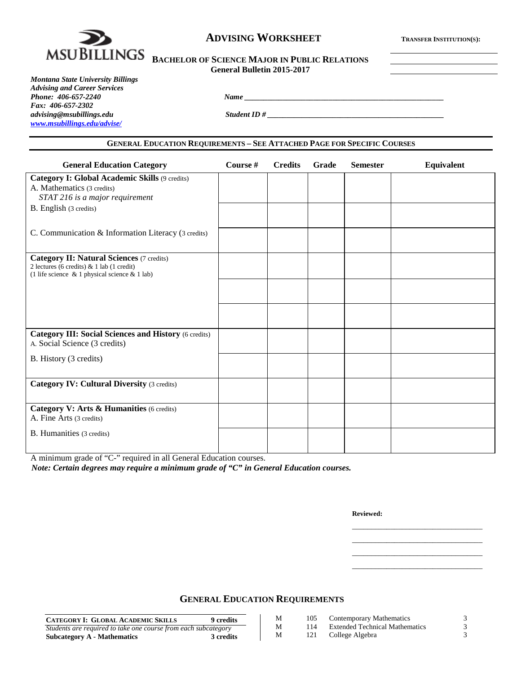

## **ADVISING WORKSHEET TRANSFER INSTITUTION(S):**

# **MSUBILLINGS** BACHELOR OF SCIENCE MAJOR IN PUBLIC RELATIONS **General Bulletin 2015-2017**

*Montana State University Billings Advising and Career Services Phone: 406-657-2240 Name \_\_\_\_\_\_\_\_\_\_\_\_\_\_\_\_\_\_\_\_\_\_\_\_\_\_\_\_\_\_\_\_\_\_\_\_\_\_\_\_\_\_\_\_\_\_\_\_\_\_\_\_ Fax: 406-657-2302 [www.msubillings.edu/advise/](http://www.msubillings.edu/advise/)*

*advising@msubillings.edu Student ID # \_\_\_\_\_\_\_\_\_\_\_\_\_\_\_\_\_\_\_\_\_\_\_\_\_\_\_\_\_\_\_\_\_\_\_\_\_\_\_\_\_\_\_\_\_\_*

#### **GENERAL EDUCATION REQUIREMENTS – SEE ATTACHED PAGE FOR SPECIFIC COURSES**

| <b>General Education Category</b>                                                                                                                      | Course # | <b>Credits</b> | <b>Grade</b> | <b>Semester</b> | Equivalent |
|--------------------------------------------------------------------------------------------------------------------------------------------------------|----------|----------------|--------------|-----------------|------------|
| <b>Category I: Global Academic Skills (9 credits)</b><br>A. Mathematics (3 credits)<br>STAT 216 is a major requirement                                 |          |                |              |                 |            |
| B. English (3 credits)                                                                                                                                 |          |                |              |                 |            |
| C. Communication & Information Literacy (3 credits)                                                                                                    |          |                |              |                 |            |
| <b>Category II: Natural Sciences (7 credits)</b><br>2 lectures (6 credits) $& 1$ lab (1 credit)<br>(1 life science $\&$ 1 physical science $\&$ 1 lab) |          |                |              |                 |            |
|                                                                                                                                                        |          |                |              |                 |            |
|                                                                                                                                                        |          |                |              |                 |            |
| <b>Category III: Social Sciences and History (6 credits)</b><br>A. Social Science (3 credits)                                                          |          |                |              |                 |            |
| B. History (3 credits)                                                                                                                                 |          |                |              |                 |            |
| <b>Category IV: Cultural Diversity (3 credits)</b>                                                                                                     |          |                |              |                 |            |
| Category V: Arts & Humanities (6 credits)<br>A. Fine Arts (3 credits)                                                                                  |          |                |              |                 |            |
| <b>B.</b> Humanities (3 credits)                                                                                                                       |          |                |              |                 |            |

A minimum grade of "C-" required in all General Education courses.

*Note: Certain degrees may require a minimum grade of "C" in General Education courses.*

**Reviewed:**

\_\_\_\_\_\_\_\_\_\_\_\_\_\_\_\_\_\_\_\_\_\_\_\_\_\_\_\_\_\_\_\_\_\_ \_\_\_\_\_\_\_\_\_\_\_\_\_\_\_\_\_\_\_\_\_\_\_\_\_\_\_\_\_\_\_\_\_\_ \_\_\_\_\_\_\_\_\_\_\_\_\_\_\_\_\_\_\_\_\_\_\_\_\_\_\_\_\_\_\_\_\_\_ \_\_\_\_\_\_\_\_\_\_\_\_\_\_\_\_\_\_\_\_\_\_\_\_\_\_\_\_\_\_\_\_\_\_

### **GENERAL EDUCATION REQUIREMENTS**

| <b>CATEGORY I: GLOBAL ACADEMIC SKILLS</b><br><b>9</b> credits  | М | 105 | Contemporary Mathematics              |  |
|----------------------------------------------------------------|---|-----|---------------------------------------|--|
| Students are required to take one course from each subcategory |   | 114 | <b>Extended Technical Mathematics</b> |  |
| 3 credits<br>Subcategory A - Mathematics                       | м | 121 | College Algebra                       |  |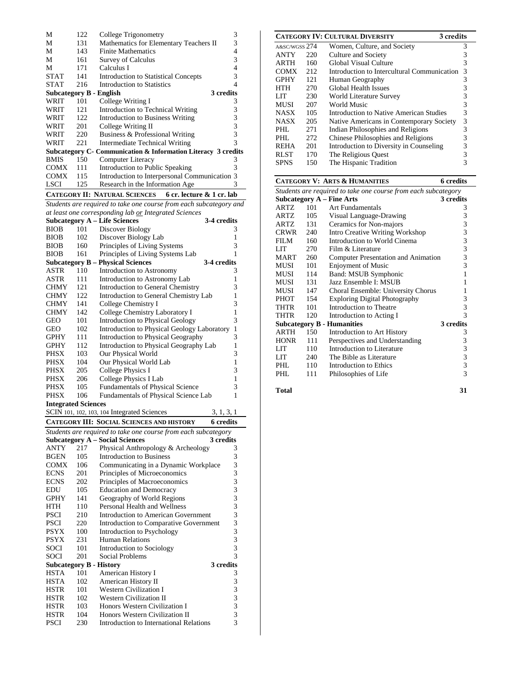| М                       | 122 | College Trigonometry                                          | 3         |
|-------------------------|-----|---------------------------------------------------------------|-----------|
| М                       | 131 | Mathematics for Elementary Teachers II                        | 3         |
| М                       | 143 | <b>Finite Mathematics</b>                                     | 4         |
| М                       | 161 | Survey of Calculus                                            | 3         |
| М                       | 171 | Calculus I                                                    | 4         |
| <b>STAT</b>             | 141 | <b>Introduction to Statistical Concepts</b>                   | 3         |
| <b>STAT</b>             | 216 | Introduction to Statistics                                    | 4         |
| Subcategory B - English |     |                                                               | 3 credits |
| WRIT                    | 101 | College Writing I                                             | 3         |
| WRIT                    | 121 | Introduction to Technical Writing                             | 3         |
| WRIT                    | 122 | Introduction to Business Writing                              | 3         |
| WRIT                    | 201 | College Writing II                                            | 3         |
| WRIT                    | 220 | Business & Professional Writing                               | 3         |
| WRIT                    | 221 | Intermediate Technical Writing                                | 3         |
|                         |     | Subcategory C- Communication & Information Literacy 3 credits |           |
| <b>BMIS</b>             | 150 | Computer Literacy                                             | 3         |
| <b>COMX</b>             | 111 | Introduction to Public Speaking                               | 3         |
| <b>COMX</b>             | 115 | Introduction to Interpersonal Communication 3                 |           |
| <b>LSCI</b>             | 125 | Research in the Information Age                               | 3         |
|                         |     | CATEGORY II: NATURAL SCIENCES 6 cr. lecture & 1 cr. lab       |           |

*Students are required to take one course from each subcategory and at least one corresponding lab or Integrated Sciences*

|                                |            | at least one corresponaing tab <u>or</u> integrated sciences                |              |
|--------------------------------|------------|-----------------------------------------------------------------------------|--------------|
|                                |            | <b>Subcategory A - Life Sciences</b><br>3-4 credits                         |              |
| <b>BIOB</b>                    | 101        | Discover Biology                                                            | 3            |
| <b>BIOB</b>                    | 102        | Discover Biology Lab                                                        | 1            |
| <b>BIOB</b>                    | 160        | Principles of Living Systems                                                | 3            |
| <b>BIOB</b>                    | 161        | Principles of Living Systems Lab                                            | 1            |
|                                |            | <b>Subcategory B – Physical Sciences</b><br>3-4 credits                     |              |
| ASTR                           | 110        | Introduction to Astronomy                                                   | 3            |
| ASTR                           | 111        | Introduction to Astronomy Lab                                               | 1            |
| <b>CHMY</b>                    | 121        | <b>Introduction to General Chemistry</b>                                    | 3            |
| <b>CHMY</b>                    | 122        | Introduction to General Chemistry Lab                                       | 1            |
| <b>CHMY</b>                    | 141        | College Chemistry I                                                         | 3            |
| <b>CHMY</b>                    | 142        | College Chemistry Laboratory I                                              | 1            |
| <b>GEO</b>                     | 101        | <b>Introduction to Physical Geology</b>                                     | 3            |
| GEO                            | 102        | <b>Introduction to Physical Geology Laboratory</b>                          | 1            |
| <b>GPHY</b>                    | 111        | <b>Introduction to Physical Geography</b>                                   | 3            |
| <b>GPHY</b>                    | 112        | Introduction to Physical Geography Lab                                      | $\mathbf{1}$ |
| PHSX                           | 103        | Our Physical World                                                          | 3            |
| PHSX                           | 104        | Our Physical World Lab                                                      | 1            |
| <b>PHSX</b>                    | 205        | <b>College Physics I</b>                                                    | 3            |
| PHSX                           | 206        | College Physics I Lab                                                       | 1            |
| <b>PHSX</b>                    | 105        | Fundamentals of Physical Science                                            | 3            |
| <b>PHSX</b>                    | 106        | Fundamentals of Physical Science Lab                                        | 1            |
| <b>Integrated Sciences</b>     |            |                                                                             |              |
|                                |            | SCIN 101, 102, 103, 104 Integrated Sciences<br>3, 1, 3, 1                   |              |
|                                |            | <b>CATEGORY III: SOCIAL SCIENCES AND HISTORY</b><br>6 credits               |              |
|                                |            |                                                                             |              |
|                                |            |                                                                             |              |
|                                |            | Students are required to take one course from each subcategory<br>3 credits |              |
| ANTY                           | 217        | <b>Subcategory A – Social Sciences</b>                                      | 3            |
| <b>BGEN</b>                    | 105        | Physical Anthropology & Archeology<br><b>Introduction to Business</b>       | 3            |
| <b>COMX</b>                    | 106        | Communicating in a Dynamic Workplace                                        | 3            |
| <b>ECNS</b>                    | 201        |                                                                             | 3            |
| <b>ECNS</b>                    | 202        | Principles of Microeconomics                                                | 3            |
| EDU                            | 105        | Principles of Macroeconomics                                                |              |
|                                | 141        | <b>Education and Democracy</b>                                              | 3            |
| <b>GPHY</b><br>HTH             | 110        | Geography of World Regions                                                  | 3            |
|                                |            | Personal Health and Wellness                                                | 3            |
| PSCI                           | 210        | Introduction to American Government                                         | 3            |
| <b>PSCI</b>                    | 220        | Introduction to Comparative Government                                      | 3            |
| <b>PSYX</b>                    | 100        | <b>Introduction to Psychology</b>                                           | 3            |
| <b>PSYX</b>                    | 231        | <b>Human Relations</b>                                                      | 3            |
| <b>SOCI</b>                    | 101        | Introduction to Sociology                                                   | 3            |
| <b>SOCI</b>                    | 201        | Social Problems                                                             | 3            |
| <b>Subcategory B - History</b> |            | 3 credits                                                                   |              |
| <b>HSTA</b>                    | 101        | American History I                                                          | 3            |
| <b>HSTA</b>                    | 102        | American History II                                                         | 3            |
| <b>HSTR</b>                    | 101        | <b>Western Civilization I</b>                                               | 3            |
| <b>HSTR</b>                    | 102        | <b>Western Civilization II</b>                                              | 3            |
| <b>HSTR</b>                    | 103        | Honors Western Civilization I                                               | 3            |
| <b>HSTR</b><br><b>PSCI</b>     | 104<br>230 | Honors Western Civilization II<br>Introduction to International Relations   | 3<br>3       |

|               |     | <b>CATEGORY IV: CULTURAL DIVERSITY</b><br>3 credits |   |
|---------------|-----|-----------------------------------------------------|---|
| A&SC/WGSS 274 |     | Women, Culture, and Society                         | 3 |
| <b>ANTY</b>   | 220 | Culture and Society                                 | 3 |
| <b>ARTH</b>   | 160 | Global Visual Culture                               | 3 |
| <b>COMX</b>   | 212 | Introduction to Intercultural Communication         | 3 |
| <b>GPHY</b>   | 121 | Human Geography                                     | 3 |
| HTH           | 270 | Global Health Issues                                | 3 |
| LIT           | 230 | World Literature Survey                             | 3 |
| <b>MUSI</b>   | 207 | World Music                                         | 3 |
| <b>NASX</b>   | 105 | Introduction to Native American Studies             | 3 |
| <b>NASX</b>   | 205 | Native Americans in Contemporary Society            | 3 |
| PHL           | 271 | Indian Philosophies and Religions                   | 3 |
| PHL           | 272 | Chinese Philosophies and Religions                  | 3 |
| <b>REHA</b>   | 201 | Introduction to Diversity in Counseling             | 3 |
| <b>RLST</b>   | 170 | The Religious Quest                                 | 3 |
| SPNS          | 150 | The Hispanic Tradition                              | 3 |

|                                                                |     | <b>CATEGORY V: ARTS &amp; HUMANITIES</b> | 6 credits |  |  |
|----------------------------------------------------------------|-----|------------------------------------------|-----------|--|--|
| Students are required to take one course from each subcategory |     |                                          |           |  |  |
|                                                                |     | Subcategory $A$ – Fine Arts              | 3 credits |  |  |
| <b>ARTZ</b>                                                    | 101 | <b>Art Fundamentals</b>                  | 3         |  |  |
| ARTZ                                                           | 105 | Visual Language-Drawing                  | 3         |  |  |
| ARTZ                                                           | 131 | Ceramics for Non-majors                  | 3         |  |  |
| CRWR                                                           | 240 | <b>Intro Creative Writing Workshop</b>   | 3         |  |  |
| FILM                                                           | 160 | Introduction to World Cinema             | 3         |  |  |
| LIT                                                            | 270 | Film & Literature                        | 3         |  |  |
| <b>MART</b>                                                    | 260 | Computer Presentation and Animation      | 3         |  |  |
| MUSI                                                           | 101 | <b>Enjoyment of Music</b>                | 3         |  |  |
| MUSI                                                           | 114 | Band: MSUB Symphonic                     | 1         |  |  |
| MUSI                                                           | 131 | Jazz Ensemble I: MSUB                    | 1         |  |  |
| MUSI                                                           | 147 | Choral Ensemble: University Chorus       | 1         |  |  |
| <b>PHOT</b>                                                    | 154 | <b>Exploring Digital Photography</b>     | 3         |  |  |
| THTR                                                           | 101 | Introduction to Theatre                  | 3         |  |  |
| <b>THTR</b>                                                    | 120 | Introduction to Acting I                 | 3         |  |  |
|                                                                |     | <b>Subcategory B - Humanities</b>        | 3 credits |  |  |
| ARTH                                                           | 150 | Introduction to Art History              | 3         |  |  |
| <b>HONR</b>                                                    | 111 | Perspectives and Understanding           | 3         |  |  |
| LIT                                                            | 110 | Introduction to Literature               | 3         |  |  |
| LIT                                                            | 240 | The Bible as Literature                  | 3         |  |  |
| PHL.                                                           | 110 | Introduction to Ethics                   | 3         |  |  |
| PHL                                                            | 111 | Philosophies of Life                     | 3         |  |  |
|                                                                |     |                                          |           |  |  |

**Total 31**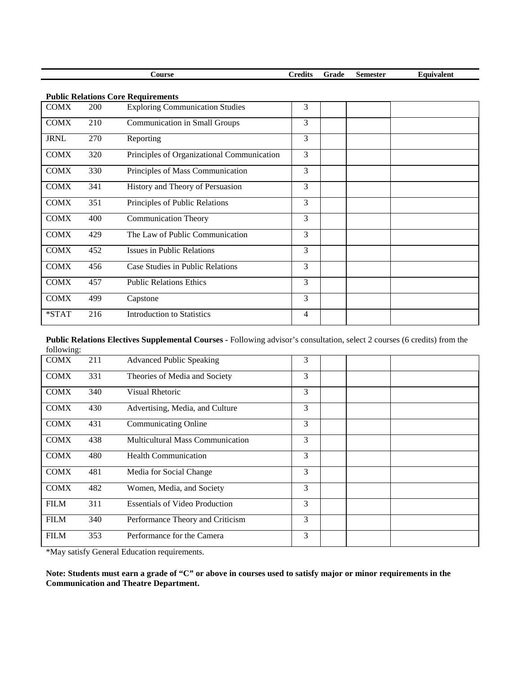|             |     | <b>Course</b>                              | <b>Credits</b> | Grade | <b>Semester</b> | Equivalent |
|-------------|-----|--------------------------------------------|----------------|-------|-----------------|------------|
|             |     | <b>Public Relations Core Requirements</b>  |                |       |                 |            |
| <b>COMX</b> | 200 | <b>Exploring Communication Studies</b>     | 3              |       |                 |            |
| <b>COMX</b> | 210 | <b>Communication in Small Groups</b>       | 3              |       |                 |            |
| <b>JRNL</b> | 270 | Reporting                                  | 3              |       |                 |            |
| <b>COMX</b> | 320 | Principles of Organizational Communication | 3              |       |                 |            |
| <b>COMX</b> | 330 | Principles of Mass Communication           | $\mathfrak{Z}$ |       |                 |            |
| <b>COMX</b> | 341 | History and Theory of Persuasion           | 3              |       |                 |            |
| <b>COMX</b> | 351 | Principles of Public Relations             | 3              |       |                 |            |
| <b>COMX</b> | 400 | <b>Communication Theory</b>                | 3              |       |                 |            |
| <b>COMX</b> | 429 | The Law of Public Communication            | 3              |       |                 |            |
| <b>COMX</b> | 452 | Issues in Public Relations                 | 3              |       |                 |            |
| <b>COMX</b> | 456 | Case Studies in Public Relations           | 3              |       |                 |            |
| <b>COMX</b> | 457 | <b>Public Relations Ethics</b>             | 3              |       |                 |            |
| <b>COMX</b> | 499 | Capstone                                   | 3              |       |                 |            |
| $*STAT$     | 216 | <b>Introduction to Statistics</b>          | 4              |       |                 |            |

**Public Relations Electives Supplemental Courses -** Following advisor's consultation, select 2 courses (6 credits) from the following:

| 1011011117  |     |                                         |   |  |
|-------------|-----|-----------------------------------------|---|--|
| <b>COMX</b> | 211 | <b>Advanced Public Speaking</b>         | 3 |  |
| <b>COMX</b> | 331 | Theories of Media and Society           | 3 |  |
| <b>COMX</b> | 340 | Visual Rhetoric                         | 3 |  |
| <b>COMX</b> | 430 | Advertising, Media, and Culture         | 3 |  |
| <b>COMX</b> | 431 | <b>Communicating Online</b>             | 3 |  |
| <b>COMX</b> | 438 | <b>Multicultural Mass Communication</b> | 3 |  |
| <b>COMX</b> | 480 | <b>Health Communication</b>             | 3 |  |
| <b>COMX</b> | 481 | Media for Social Change                 | 3 |  |
| <b>COMX</b> | 482 | Women, Media, and Society               | 3 |  |
| <b>FILM</b> | 311 | <b>Essentials of Video Production</b>   | 3 |  |
| <b>FILM</b> | 340 | Performance Theory and Criticism        | 3 |  |
| <b>FILM</b> | 353 | Performance for the Camera              | 3 |  |
|             |     |                                         |   |  |

\*May satisfy General Education requirements.

**Note: Students must earn a grade of "C" or above in courses used to satisfy major or minor requirements in the Communication and Theatre Department.**